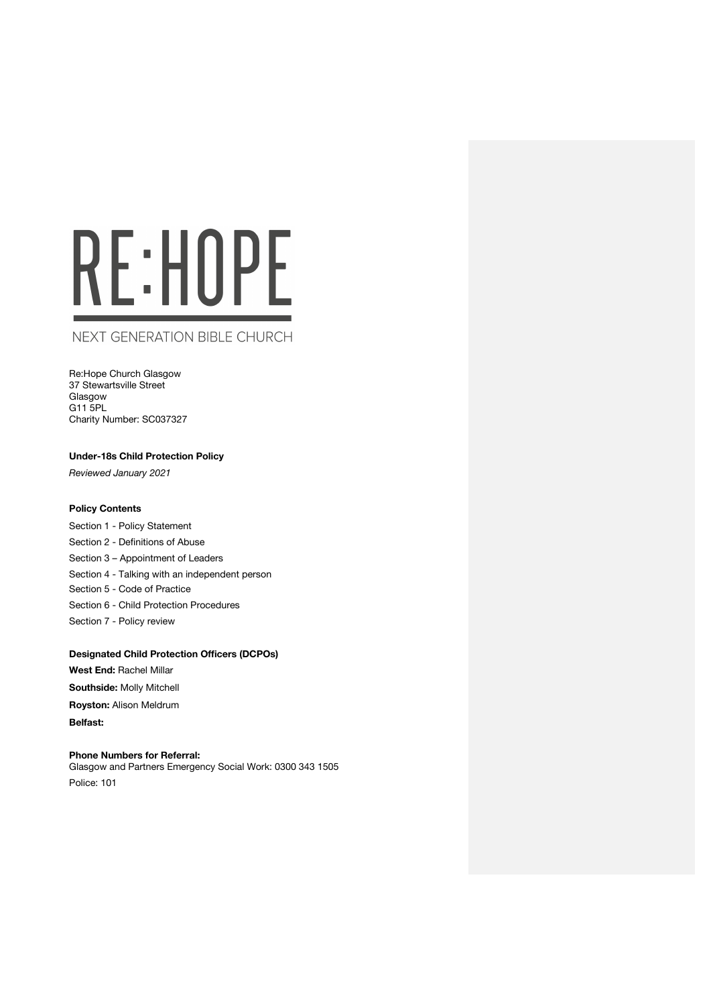# RE:HOPE

# NEXT GENERATION BIBLE CHURCH

Re:Hope Church Glasgow 37 Stewartsville Street Glasgow G11 5PL Charity Number: SC037327

**Under-18s Child Protection Policy** 

*Reviewed January 2021* 

# **Policy Contents**

- Section 1 Policy Statement Section 2 - Definitions of Abuse Section 3 – Appointment of Leaders
- 
- Section 4 Talking with an independent person
- Section 5 Code of Practice
- Section 6 Child Protection Procedures
- Section 7 Policy review

# **Designated Child Protection Officers (DCPOs)**

- **West End:** Rachel Millar
- **Southside:** Molly Mitchell
- **Royston:** Alison Meldrum
- **Belfast:**

# **Phone Numbers for Referral:**

Glasgow and Partners Emergency Social Work: 0300 343 1505 Police: 101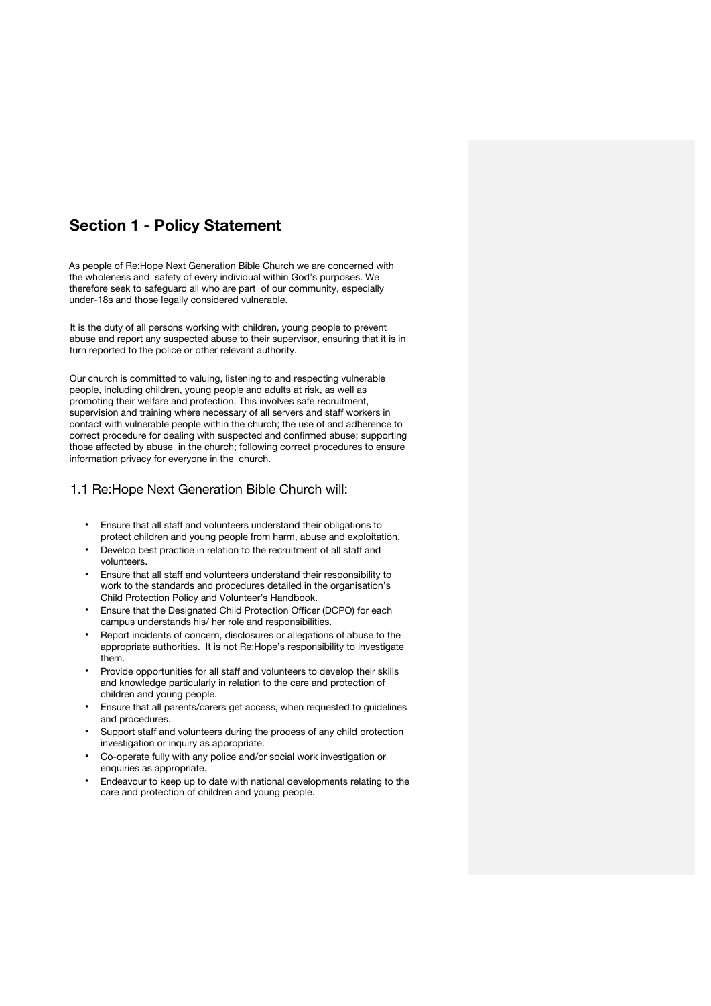# **Section 1 - Policy Statement**

As people of Re:Hope Next Generation Bible Church we are concerned with the wholeness and safety of every individual within God's purposes. We therefore seek to safeguard all who are part of our community, especially under-18s and those legally considered vulnerable.

It is the duty of all persons working with children, young people to prevent abuse and report any suspected abuse to their supervisor, ensuring that it is in turn reported to the police or other relevant authority.

Our church is committed to valuing, listening to and respecting vulnerable people, including children, young people and adults at risk, as well as promoting their welfare and protection. This involves safe recruitment, supervision and training where necessary of all servers and staff workers in contact with vulnerable people within the church; the use of and adherence to correct procedure for dealing with suspected and confirmed abuse; supporting those affected by abuse in the church; following correct procedures to ensure information privacy for everyone in the church.

# 1.1 Re:Hope Next Generation Bible Church will:

- Ensure that all staff and volunteers understand their obligations to protect children and young people from harm, abuse and exploitation.
- Develop best practice in relation to the recruitment of all staff and volunteers.
- Ensure that all staff and volunteers understand their responsibility to work to the standards and procedures detailed in the organisation's Child Protection Policy and Volunteer's Handbook.
- Ensure that the Designated Child Protection Officer (DCPO) for each campus understands his/ her role and responsibilities.
- Report incidents of concern, disclosures or allegations of abuse to the appropriate authorities. It is not Re:Hope's responsibility to investigate them.
- Provide opportunities for all staff and volunteers to develop their skills and knowledge particularly in relation to the care and protection of children and young people.
- Ensure that all parents/carers get access, when requested to guidelines and procedures.
- Support staff and volunteers during the process of any child protection investigation or inquiry as appropriate.
- Co-operate fully with any police and/or social work investigation or enquiries as appropriate.
- Endeavour to keep up to date with national developments relating to the care and protection of children and young people.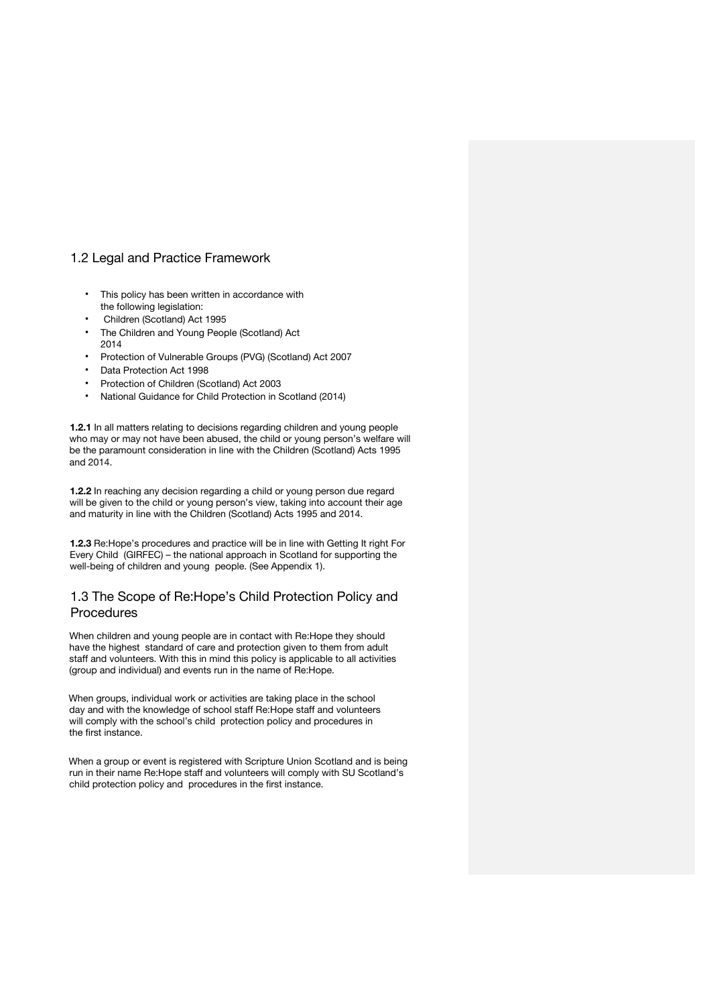# 1.2 Legal and Practice Framework

- This policy has been written in accordance with the following legislation:
- Children (Scotland) Act 1995
- The Children and Young People (Scotland) Act 2014
- Protection of Vulnerable Groups (PVG) (Scotland) Act 2007
- Data Protection Act 1998
- Protection of Children (Scotland) Act 2003
- National Guidance for Child Protection in Scotland (2014)

**1.2.1** In all matters relating to decisions regarding children and young people who may or may not have been abused, the child or young person's welfare will be the paramount consideration in line with the Children (Scotland) Acts 1995 and 2014.

**1.2.2** In reaching any decision regarding a child or young person due regard will be given to the child or young person's view, taking into account their age and maturity in line with the Children (Scotland) Acts 1995 and 2014.

**1.2.3** Re:Hope's procedures and practice will be in line with Getting It right For Every Child (GIRFEC) – the national approach in Scotland for supporting the well-being of children and young people. (See Appendix 1).

# 1.3 The Scope of Re:Hope's Child Protection Policy and Procedures

When children and young people are in contact with Re:Hope they should have the highest standard of care and protection given to them from adult staff and volunteers. With this in mind this policy is applicable to all activities (group and individual) and events run in the name of Re:Hope.

When groups, individual work or activities are taking place in the school day and with the knowledge of school staff Re:Hope staff and volunteers will comply with the school's child protection policy and procedures in the first instance.

When a group or event is registered with Scripture Union Scotland and is being run in their name Re:Hope staff and volunteers will comply with SU Scotland's child protection policy and procedures in the first instance.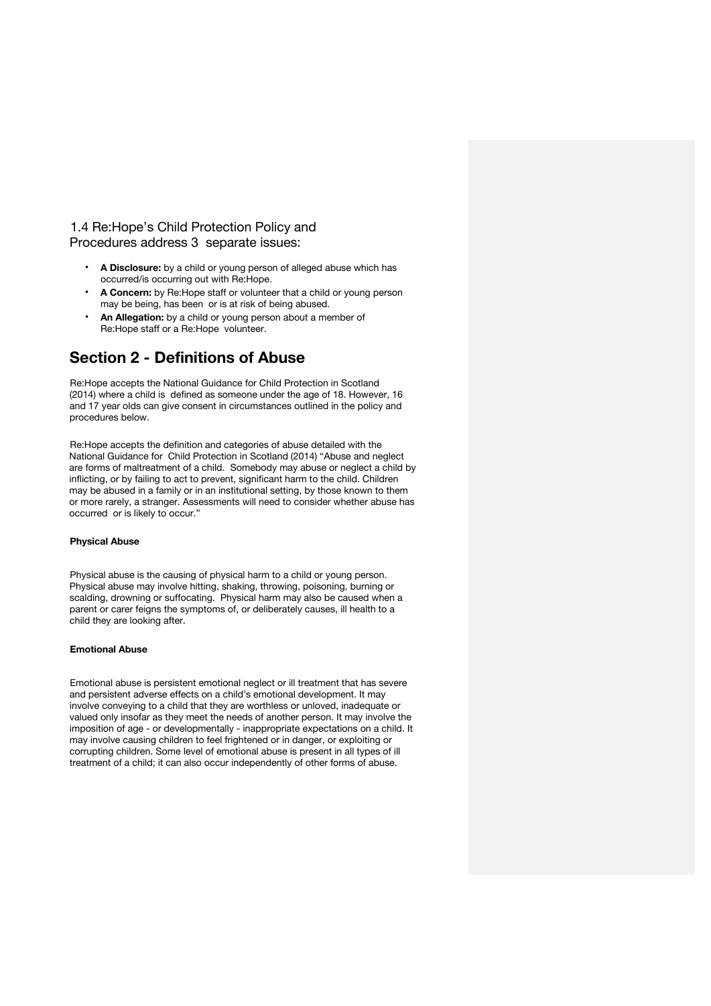# 1.4 Re:Hope's Child Protection Policy and Procedures address 3 separate issues:

- **A Disclosure:** by a child or young person of alleged abuse which has occurred/is occurring out with Re:Hope.
- **A Concern:** by Re:Hope staff or volunteer that a child or young person may be being, has been or is at risk of being abused.
- **An Allegation:** by a child or young person about a member of Re:Hope staff or a Re:Hope volunteer.

# **Section 2 - Definitions of Abuse**

Re:Hope accepts the National Guidance for Child Protection in Scotland (2014) where a child is defined as someone under the age of 18. However, 16 and 17 year olds can give consent in circumstances outlined in the policy and procedures below.

Re:Hope accepts the definition and categories of abuse detailed with the National Guidance for Child Protection in Scotland (2014) "Abuse and neglect are forms of maltreatment of a child. Somebody may abuse or neglect a child by inflicting, or by failing to act to prevent, significant harm to the child. Children may be abused in a family or in an institutional setting, by those known to them or more rarely, a stranger. Assessments will need to consider whether abuse has occurred or is likely to occur."

### **Physical Abuse**

Physical abuse is the causing of physical harm to a child or young person. Physical abuse may involve hitting, shaking, throwing, poisoning, burning or scalding, drowning or suffocating. Physical harm may also be caused when a parent or carer feigns the symptoms of, or deliberately causes, ill health to a child they are looking after.

### **Emotional Abuse**

Emotional abuse is persistent emotional neglect or ill treatment that has severe and persistent adverse effects on a child's emotional development. It may involve conveying to a child that they are worthless or unloved, inadequate or valued only insofar as they meet the needs of another person. It may involve the imposition of age - or developmentally - inappropriate expectations on a child. It may involve causing children to feel frightened or in danger, or exploiting or corrupting children. Some level of emotional abuse is present in all types of ill treatment of a child; it can also occur independently of other forms of abuse.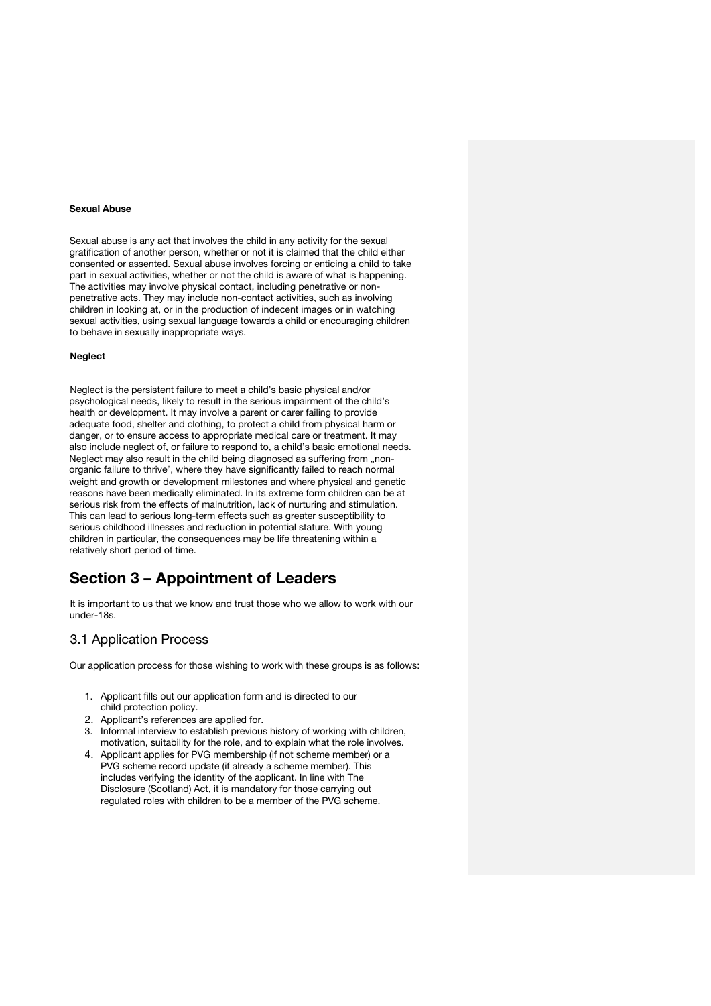### **Sexual Abuse**

Sexual abuse is any act that involves the child in any activity for the sexual gratification of another person, whether or not it is claimed that the child either consented or assented. Sexual abuse involves forcing or enticing a child to take part in sexual activities, whether or not the child is aware of what is happening. The activities may involve physical contact, including penetrative or nonpenetrative acts. They may include non-contact activities, such as involving children in looking at, or in the production of indecent images or in watching sexual activities, using sexual language towards a child or encouraging children to behave in sexually inappropriate ways.

### **Neglect**

Neglect is the persistent failure to meet a child's basic physical and/or psychological needs, likely to result in the serious impairment of the child's health or development. It may involve a parent or carer failing to provide adequate food, shelter and clothing, to protect a child from physical harm or danger, or to ensure access to appropriate medical care or treatment. It may also include neglect of, or failure to respond to, a child's basic emotional needs. Neglect may also result in the child being diagnosed as suffering from "nonorganic failure to thrive", where they have significantly failed to reach normal weight and growth or development milestones and where physical and genetic reasons have been medically eliminated. In its extreme form children can be at serious risk from the effects of malnutrition, lack of nurturing and stimulation. This can lead to serious long-term effects such as greater susceptibility to serious childhood illnesses and reduction in potential stature. With young children in particular, the consequences may be life threatening within a relatively short period of time.

# **Section 3 – Appointment of Leaders**

It is important to us that we know and trust those who we allow to work with our under-18s.

# 3.1 Application Process

Our application process for those wishing to work with these groups is as follows:

- 1. Applicant fills out our application form and is directed to our child protection policy.
- 2. Applicant's references are applied for.
- 3. Informal interview to establish previous history of working with children, motivation, suitability for the role, and to explain what the role involves.
- 4. Applicant applies for PVG membership (if not scheme member) or a PVG scheme record update (if already a scheme member). This includes verifying the identity of the applicant. In line with The Disclosure (Scotland) Act, it is mandatory for those carrying out regulated roles with children to be a member of the PVG scheme.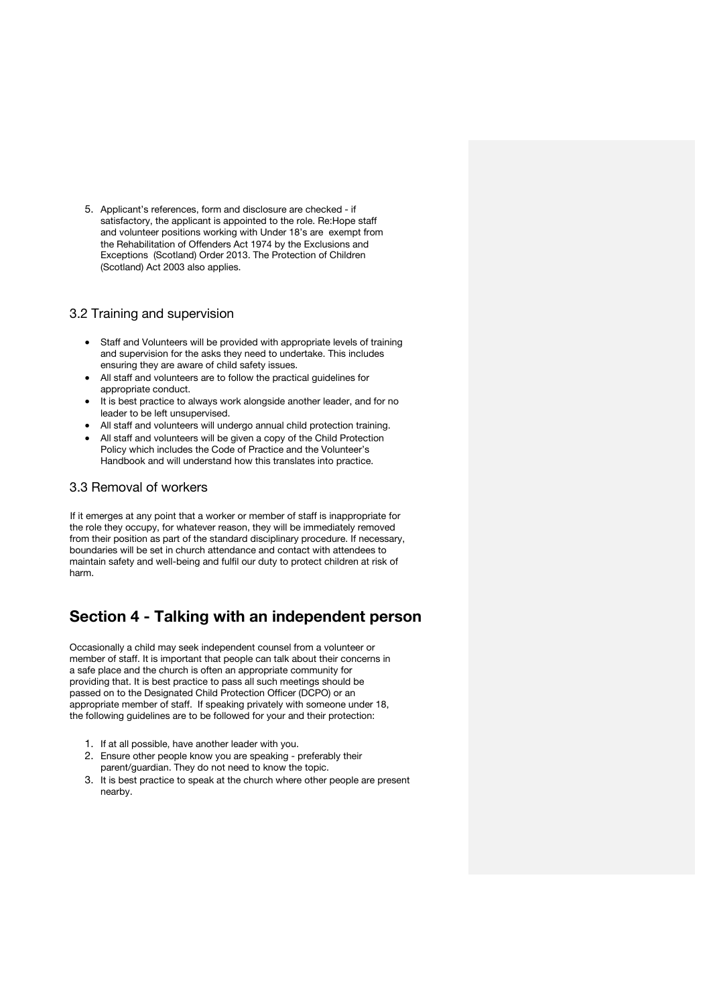5. Applicant's references, form and disclosure are checked - if satisfactory, the applicant is appointed to the role. Re:Hope staff and volunteer positions working with Under 18's are exempt from the Rehabilitation of Offenders Act 1974 by the Exclusions and Exceptions (Scotland) Order 2013. The Protection of Children (Scotland) Act 2003 also applies.

# 3.2 Training and supervision

- Staff and Volunteers will be provided with appropriate levels of training and supervision for the asks they need to undertake. This includes ensuring they are aware of child safety issues.
- All staff and volunteers are to follow the practical guidelines for appropriate conduct.
- It is best practice to always work alongside another leader, and for no leader to be left unsupervised.
- All staff and volunteers will undergo annual child protection training.
- All staff and volunteers will be given a copy of the Child Protection Policy which includes the Code of Practice and the Volunteer's Handbook and will understand how this translates into practice.

# 3.3 Removal of workers

If it emerges at any point that a worker or member of staff is inappropriate for the role they occupy, for whatever reason, they will be immediately removed from their position as part of the standard disciplinary procedure. If necessary, boundaries will be set in church attendance and contact with attendees to maintain safety and well-being and fulfil our duty to protect children at risk of harm.

# **Section 4 - Talking with an independent person**

Occasionally a child may seek independent counsel from a volunteer or member of staff. It is important that people can talk about their concerns in a safe place and the church is often an appropriate community for providing that. It is best practice to pass all such meetings should be passed on to the Designated Child Protection Officer (DCPO) or an appropriate member of staff. If speaking privately with someone under 18, the following guidelines are to be followed for your and their protection:

- 1. If at all possible, have another leader with you.
- 2. Ensure other people know you are speaking preferably their parent/guardian. They do not need to know the topic.
- 3. It is best practice to speak at the church where other people are present nearby.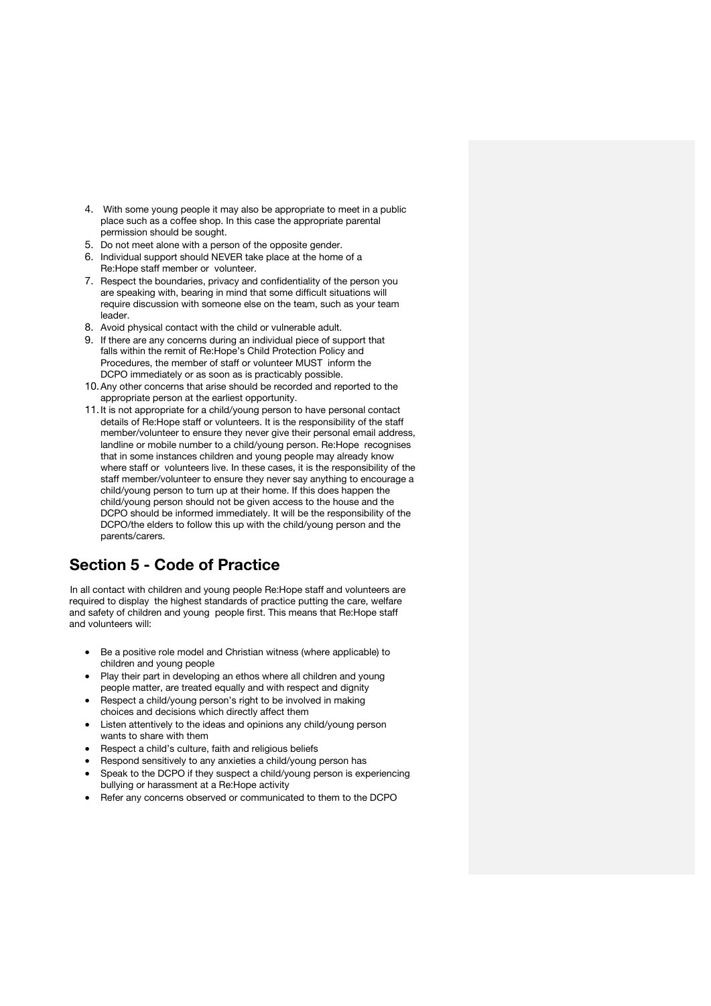- 4. With some young people it may also be appropriate to meet in a public place such as a coffee shop. In this case the appropriate parental permission should be sought.
- 5. Do not meet alone with a person of the opposite gender.
- 6. Individual support should NEVER take place at the home of a Re:Hope staff member or volunteer.
- 7. Respect the boundaries, privacy and confidentiality of the person you are speaking with, bearing in mind that some difficult situations will require discussion with someone else on the team, such as your team leader.
- 8. Avoid physical contact with the child or vulnerable adult.
- 9. If there are any concerns during an individual piece of support that falls within the remit of Re:Hope's Child Protection Policy and Procedures, the member of staff or volunteer MUST inform the DCPO immediately or as soon as is practicably possible.
- 10.Any other concerns that arise should be recorded and reported to the appropriate person at the earliest opportunity.
- 11.It is not appropriate for a child/young person to have personal contact details of Re:Hope staff or volunteers. It is the responsibility of the staff member/volunteer to ensure they never give their personal email address, landline or mobile number to a child/young person. Re:Hope recognises that in some instances children and young people may already know where staff or volunteers live. In these cases, it is the responsibility of the staff member/volunteer to ensure they never say anything to encourage a child/young person to turn up at their home. If this does happen the child/young person should not be given access to the house and the DCPO should be informed immediately. It will be the responsibility of the DCPO/the elders to follow this up with the child/young person and the parents/carers.

# **Section 5 - Code of Practice**

In all contact with children and young people Re:Hope staff and volunteers are required to display the highest standards of practice putting the care, welfare and safety of children and young people first. This means that Re:Hope staff and volunteers will:

- Be a positive role model and Christian witness (where applicable) to children and young people
- Play their part in developing an ethos where all children and young people matter, are treated equally and with respect and dignity
- Respect a child/young person's right to be involved in making choices and decisions which directly affect them
- Listen attentively to the ideas and opinions any child/young person wants to share with them
- Respect a child's culture, faith and religious beliefs
- Respond sensitively to any anxieties a child/young person has
- Speak to the DCPO if they suspect a child/young person is experiencing bullying or harassment at a Re:Hope activity
- Refer any concerns observed or communicated to them to the DCPO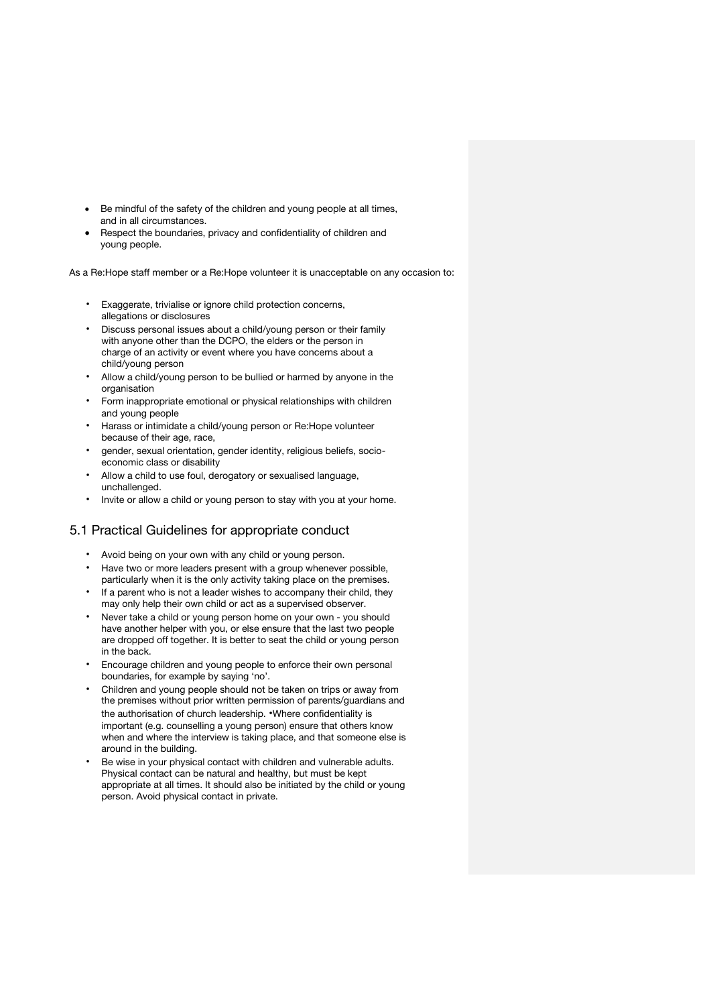- Be mindful of the safety of the children and young people at all times. and in all circumstances.
- Respect the boundaries, privacy and confidentiality of children and young people.

As a Re:Hope staff member or a Re:Hope volunteer it is unacceptable on any occasion to:

- Exaggerate, trivialise or ignore child protection concerns, allegations or disclosures
- Discuss personal issues about a child/young person or their family with anyone other than the DCPO, the elders or the person in charge of an activity or event where you have concerns about a child/young person
- Allow a child/young person to be bullied or harmed by anyone in the organisation
- Form inappropriate emotional or physical relationships with children and young people
- Harass or intimidate a child/young person or Re:Hope volunteer because of their age, race,
- gender, sexual orientation, gender identity, religious beliefs, socioeconomic class or disability
- Allow a child to use foul, derogatory or sexualised language, unchallenged.
- Invite or allow a child or young person to stay with you at your home.

# 5.1 Practical Guidelines for appropriate conduct

- Avoid being on your own with any child or young person.
- Have two or more leaders present with a group whenever possible, particularly when it is the only activity taking place on the premises.
- If a parent who is not a leader wishes to accompany their child, they may only help their own child or act as a supervised observer.
- Never take a child or young person home on your own you should have another helper with you, or else ensure that the last two people are dropped off together. It is better to seat the child or young person in the back.
- Encourage children and young people to enforce their own personal boundaries, for example by saying 'no'.
- Children and young people should not be taken on trips or away from the premises without prior written permission of parents/guardians and the authorisation of church leadership. •Where confidentiality is important (e.g. counselling a young person) ensure that others know when and where the interview is taking place, and that someone else is around in the building.
- Be wise in your physical contact with children and vulnerable adults. Physical contact can be natural and healthy, but must be kept appropriate at all times. It should also be initiated by the child or young person. Avoid physical contact in private.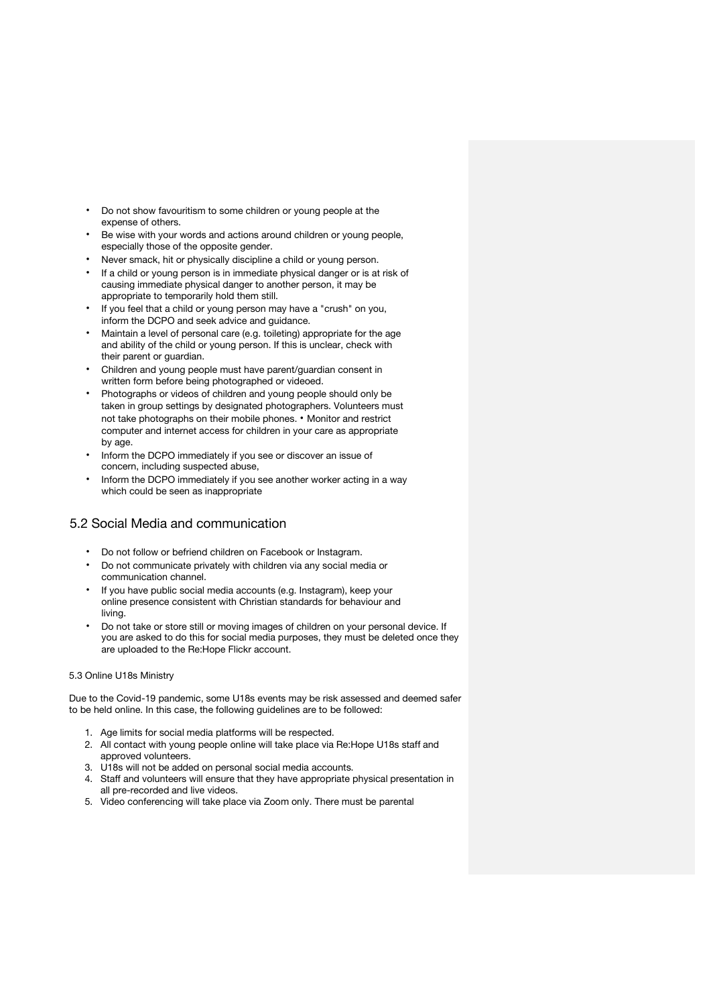- Do not show favouritism to some children or young people at the expense of others.
- Be wise with your words and actions around children or young people, especially those of the opposite gender.
- Never smack, hit or physically discipline a child or young person.
- If a child or young person is in immediate physical danger or is at risk of causing immediate physical danger to another person, it may be appropriate to temporarily hold them still.
- If you feel that a child or young person may have a "crush" on you, inform the DCPO and seek advice and guidance.
- Maintain a level of personal care (e.g. toileting) appropriate for the age and ability of the child or young person. If this is unclear, check with their parent or guardian.
- Children and young people must have parent/guardian consent in written form before being photographed or videoed.
- Photographs or videos of children and young people should only be taken in group settings by designated photographers. Volunteers must not take photographs on their mobile phones. • Monitor and restrict computer and internet access for children in your care as appropriate by age.
- Inform the DCPO immediately if you see or discover an issue of concern, including suspected abuse,
- Inform the DCPO immediately if you see another worker acting in a way which could be seen as inappropriate

# 5.2 Social Media and communication

- Do not follow or befriend children on Facebook or Instagram.
- Do not communicate privately with children via any social media or communication channel.
- If you have public social media accounts (e.g. Instagram), keep your online presence consistent with Christian standards for behaviour and living.
- Do not take or store still or moving images of children on your personal device. If you are asked to do this for social media purposes, they must be deleted once they are uploaded to the Re:Hope Flickr account.

## 5.3 Online U18s Ministry

Due to the Covid-19 pandemic, some U18s events may be risk assessed and deemed safer to be held online. In this case, the following guidelines are to be followed:

- 1. Age limits for social media platforms will be respected.
- 2. All contact with young people online will take place via Re:Hope U18s staff and approved volunteers.
- 3. U18s will not be added on personal social media accounts.
- 4. Staff and volunteers will ensure that they have appropriate physical presentation in all pre-recorded and live videos.
- 5. Video conferencing will take place via Zoom only. There must be parental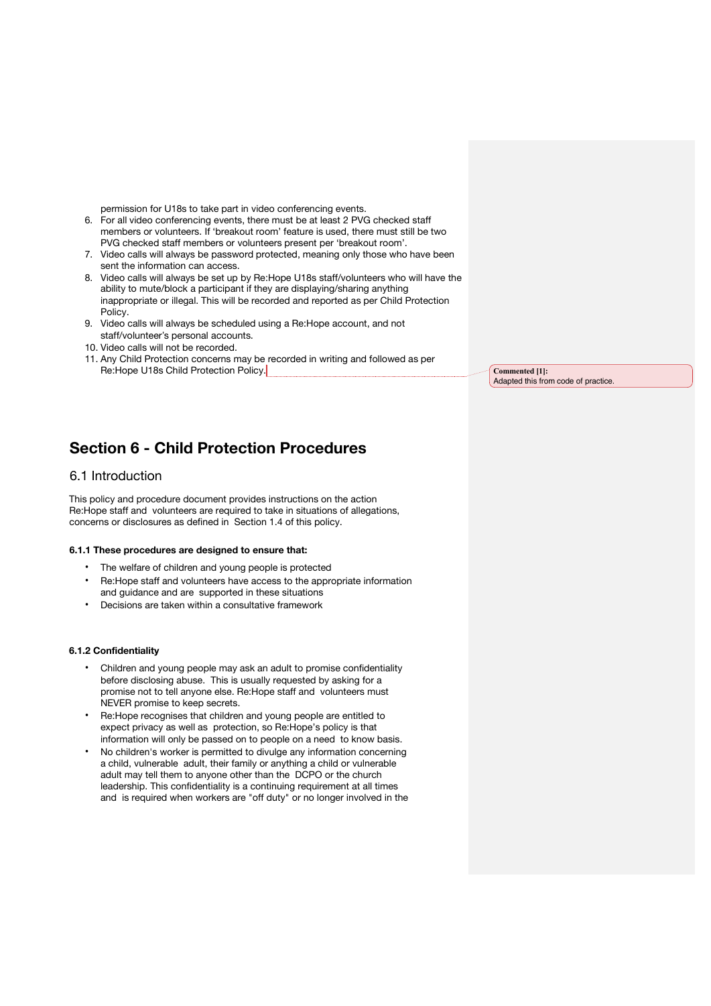permission for U18s to take part in video conferencing events.

- 6. For all video conferencing events, there must be at least 2 PVG checked staff members or volunteers. If 'breakout room' feature is used, there must still be two PVG checked staff members or volunteers present per 'breakout room'.
- 7. Video calls will always be password protected, meaning only those who have been sent the information can access.
- 8. Video calls will always be set up by Re:Hope U18s staff/volunteers who will have the ability to mute/block a participant if they are displaying/sharing anything inappropriate or illegal. This will be recorded and reported as per Child Protection Policy.
- 9. Video calls will always be scheduled using a Re:Hope account, and not staff/volunteer's personal accounts.
- 10. Video calls will not be recorded.
- 11. Any Child Protection concerns may be recorded in writing and followed as per Re:Hope U18s Child Protection Policy.

**Commented [1]:**  Adapted this from code of practice.

# **Section 6 - Child Protection Procedures**

# 6.1 Introduction

This policy and procedure document provides instructions on the action Re:Hope staff and volunteers are required to take in situations of allegations, concerns or disclosures as defined in Section 1.4 of this policy.

### **6.1.1 These procedures are designed to ensure that:**

- The welfare of children and young people is protected
- Re:Hope staff and volunteers have access to the appropriate information and guidance and are supported in these situations
- Decisions are taken within a consultative framework

### **6.1.2 Confidentiality**

- Children and young people may ask an adult to promise confidentiality before disclosing abuse. This is usually requested by asking for a promise not to tell anyone else. Re:Hope staff and volunteers must NEVER promise to keep secrets.
- Re:Hope recognises that children and young people are entitled to expect privacy as well as protection, so Re:Hope's policy is that information will only be passed on to people on a need to know basis.
- No children's worker is permitted to divulge any information concerning a child, vulnerable adult, their family or anything a child or vulnerable adult may tell them to anyone other than the DCPO or the church leadership. This confidentiality is a continuing requirement at all times and is required when workers are "off duty" or no longer involved in the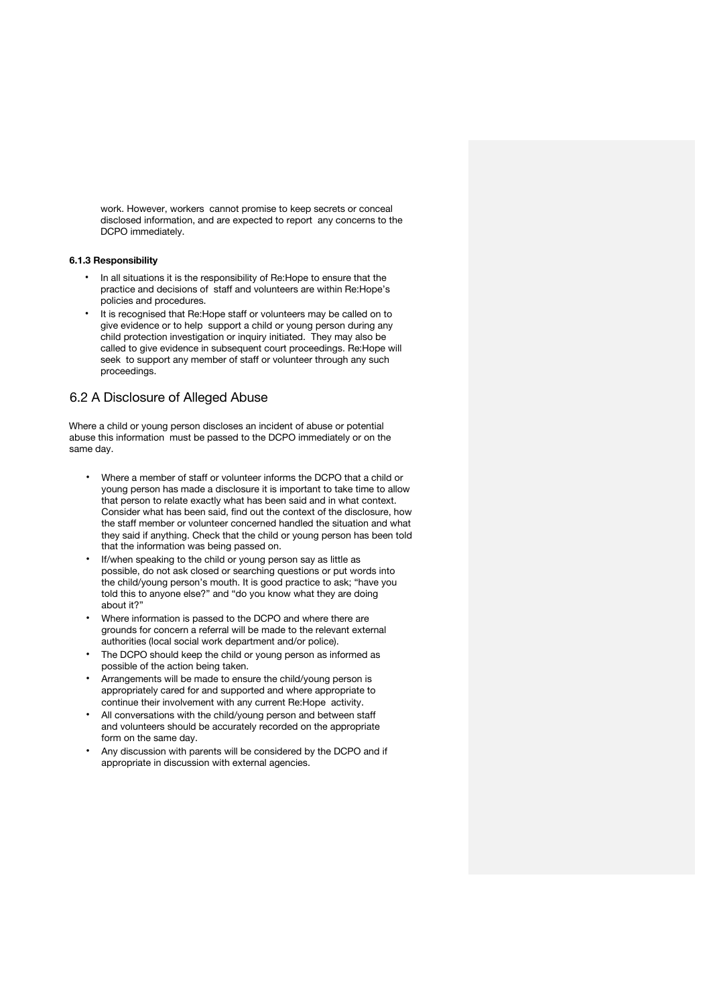work. However, workers cannot promise to keep secrets or conceal disclosed information, and are expected to report any concerns to the DCPO immediately.

### **6.1.3 Responsibility**

- In all situations it is the responsibility of Re:Hope to ensure that the practice and decisions of staff and volunteers are within Re:Hope's policies and procedures.
- It is recognised that Re: Hope staff or volunteers may be called on to give evidence or to help support a child or young person during any child protection investigation or inquiry initiated. They may also be called to give evidence in subsequent court proceedings. Re:Hope will seek to support any member of staff or volunteer through any such proceedings.

# 6.2 A Disclosure of Alleged Abuse

Where a child or young person discloses an incident of abuse or potential abuse this information must be passed to the DCPO immediately or on the same day.

- Where a member of staff or volunteer informs the DCPO that a child or young person has made a disclosure it is important to take time to allow that person to relate exactly what has been said and in what context. Consider what has been said, find out the context of the disclosure, how the staff member or volunteer concerned handled the situation and what they said if anything. Check that the child or young person has been told that the information was being passed on.
- If/when speaking to the child or young person say as little as possible, do not ask closed or searching questions or put words into the child/young person's mouth. It is good practice to ask; "have you told this to anyone else?" and "do you know what they are doing about it?"
- Where information is passed to the DCPO and where there are grounds for concern a referral will be made to the relevant external authorities (local social work department and/or police).
- The DCPO should keep the child or young person as informed as possible of the action being taken.
- Arrangements will be made to ensure the child/young person is appropriately cared for and supported and where appropriate to continue their involvement with any current Re:Hope activity.
- All conversations with the child/young person and between staff and volunteers should be accurately recorded on the appropriate form on the same day.
- Any discussion with parents will be considered by the DCPO and if appropriate in discussion with external agencies.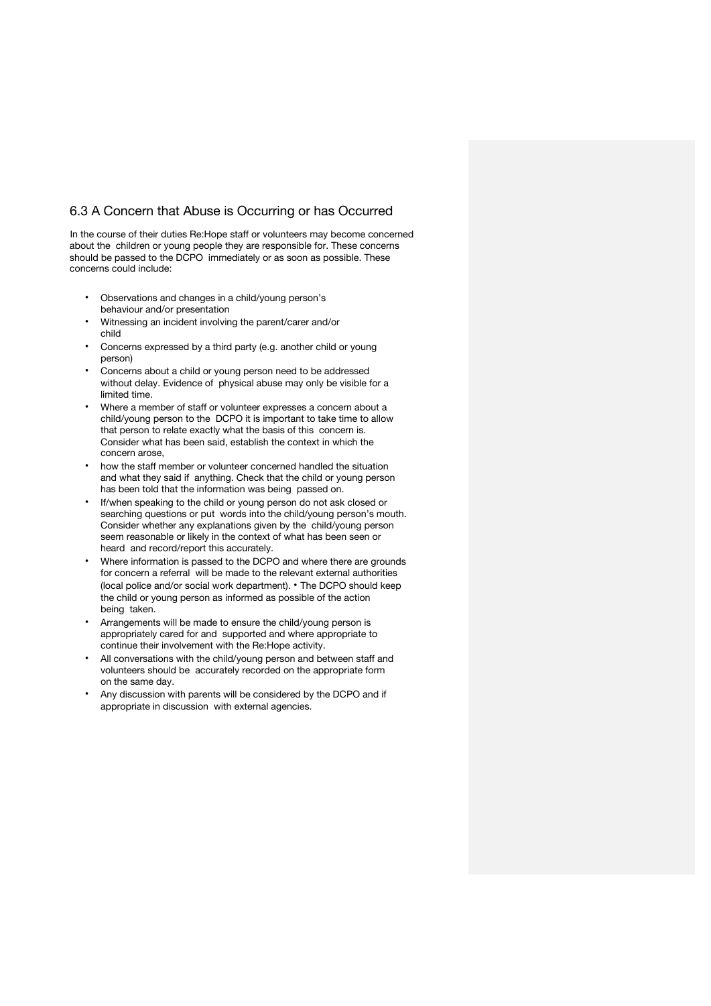# 6.3 A Concern that Abuse is Occurring or has Occurred

In the course of their duties Re:Hope staff or volunteers may become concerned about the children or young people they are responsible for. These concerns should be passed to the DCPO immediately or as soon as possible. These concerns could include:

- Observations and changes in a child/young person's behaviour and/or presentation
- Witnessing an incident involving the parent/carer and/or child
- Concerns expressed by a third party (e.g. another child or young person)
- Concerns about a child or young person need to be addressed without delay. Evidence of physical abuse may only be visible for a limited time.
- Where a member of staff or volunteer expresses a concern about a child/young person to the DCPO it is important to take time to allow that person to relate exactly what the basis of this concern is. Consider what has been said, establish the context in which the concern arose,
- how the staff member or volunteer concerned handled the situation and what they said if anything. Check that the child or young person has been told that the information was being passed on.
- If/when speaking to the child or young person do not ask closed or searching questions or put words into the child/young person's mouth. Consider whether any explanations given by the child/young person seem reasonable or likely in the context of what has been seen or heard and record/report this accurately.
- Where information is passed to the DCPO and where there are grounds for concern a referral will be made to the relevant external authorities (local police and/or social work department). • The DCPO should keep the child or young person as informed as possible of the action being taken.
- Arrangements will be made to ensure the child/young person is appropriately cared for and supported and where appropriate to continue their involvement with the Re:Hope activity.
- All conversations with the child/young person and between staff and volunteers should be accurately recorded on the appropriate form on the same day.
- Any discussion with parents will be considered by the DCPO and if appropriate in discussion with external agencies.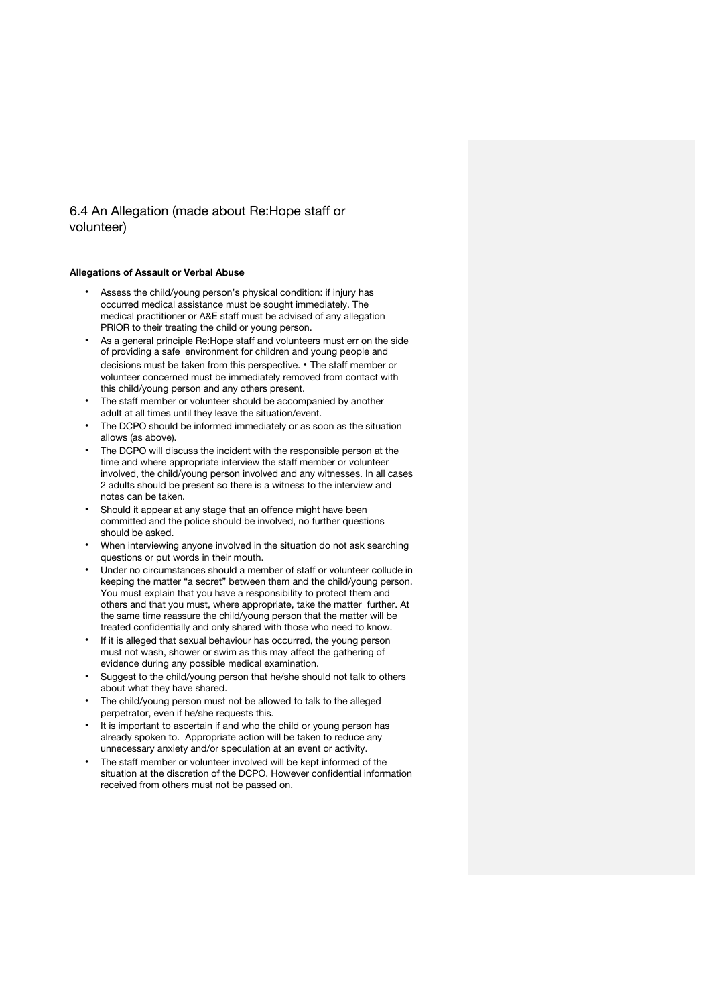# 6.4 An Allegation (made about Re:Hope staff or volunteer)

### **Allegations of Assault or Verbal Abuse**

- Assess the child/young person's physical condition: if injury has occurred medical assistance must be sought immediately. The medical practitioner or A&E staff must be advised of any allegation PRIOR to their treating the child or young person.
- As a general principle Re: Hope staff and volunteers must err on the side of providing a safe environment for children and young people and decisions must be taken from this perspective. • The staff member or volunteer concerned must be immediately removed from contact with this child/young person and any others present.
- The staff member or volunteer should be accompanied by another adult at all times until they leave the situation/event.
- The DCPO should be informed immediately or as soon as the situation allows (as above).
- The DCPO will discuss the incident with the responsible person at the time and where appropriate interview the staff member or volunteer involved, the child/young person involved and any witnesses. In all cases 2 adults should be present so there is a witness to the interview and notes can be taken.
- Should it appear at any stage that an offence might have been committed and the police should be involved, no further questions should be asked.
- When interviewing anyone involved in the situation do not ask searching questions or put words in their mouth.
- Under no circumstances should a member of staff or volunteer collude in keeping the matter "a secret" between them and the child/young person. You must explain that you have a responsibility to protect them and others and that you must, where appropriate, take the matter further. At the same time reassure the child/young person that the matter will be treated confidentially and only shared with those who need to know.
- If it is alleged that sexual behaviour has occurred, the young person must not wash, shower or swim as this may affect the gathering of evidence during any possible medical examination.
- Suggest to the child/young person that he/she should not talk to others about what they have shared.
- The child/young person must not be allowed to talk to the alleged perpetrator, even if he/she requests this.
- It is important to ascertain if and who the child or young person has already spoken to. Appropriate action will be taken to reduce any unnecessary anxiety and/or speculation at an event or activity.
- The staff member or volunteer involved will be kept informed of the situation at the discretion of the DCPO. However confidential information received from others must not be passed on.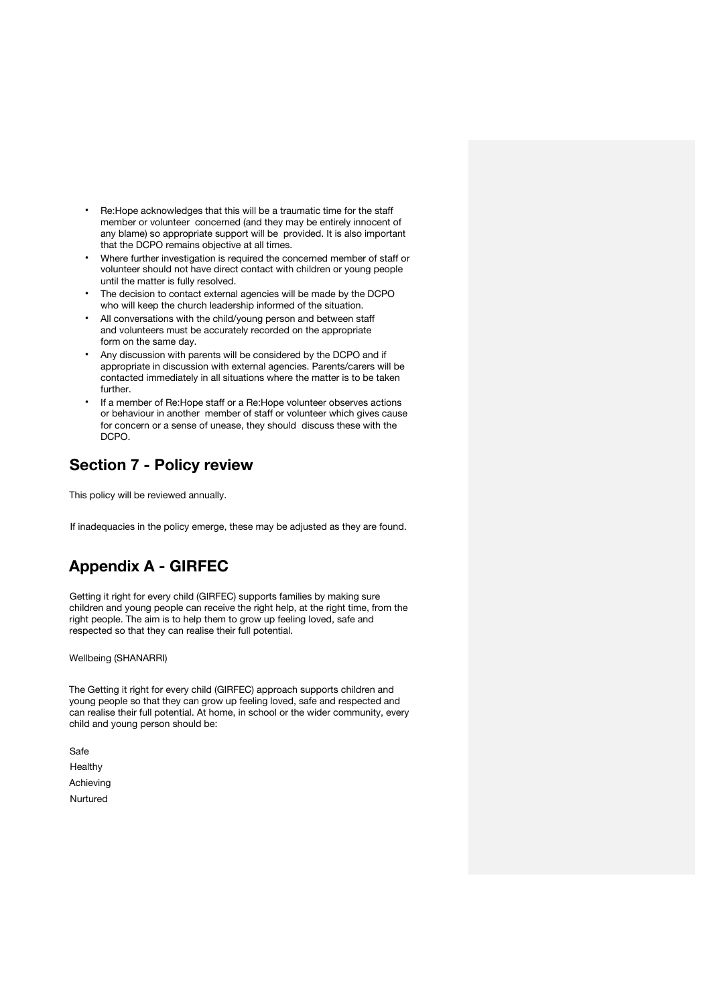- Re:Hope acknowledges that this will be a traumatic time for the staff member or volunteer concerned (and they may be entirely innocent of any blame) so appropriate support will be provided. It is also important that the DCPO remains objective at all times.
- Where further investigation is required the concerned member of staff or volunteer should not have direct contact with children or young people until the matter is fully resolved.
- The decision to contact external agencies will be made by the DCPO who will keep the church leadership informed of the situation.
- All conversations with the child/young person and between staff and volunteers must be accurately recorded on the appropriate form on the same day.
- Any discussion with parents will be considered by the DCPO and if appropriate in discussion with external agencies. Parents/carers will be contacted immediately in all situations where the matter is to be taken further
- If a member of Re: Hope staff or a Re: Hope volunteer observes actions or behaviour in another member of staff or volunteer which gives cause for concern or a sense of unease, they should discuss these with the DCPO.

# **Section 7 - Policy review**

This policy will be reviewed annually.

If inadequacies in the policy emerge, these may be adjusted as they are found.

# **Appendix A - GIRFEC**

Getting it right for every child (GIRFEC) supports families by making sure children and young people can receive the right help, at the right time, from the right people. The aim is to help them to grow up feeling loved, safe and respected so that they can realise their full potential.

Wellbeing (SHANARRI)

The Getting it right for every child (GIRFEC) approach supports children and young people so that they can grow up feeling loved, safe and respected and can realise their full potential. At home, in school or the wider community, every child and young person should be:

Safe Healthy Achieving Nurtured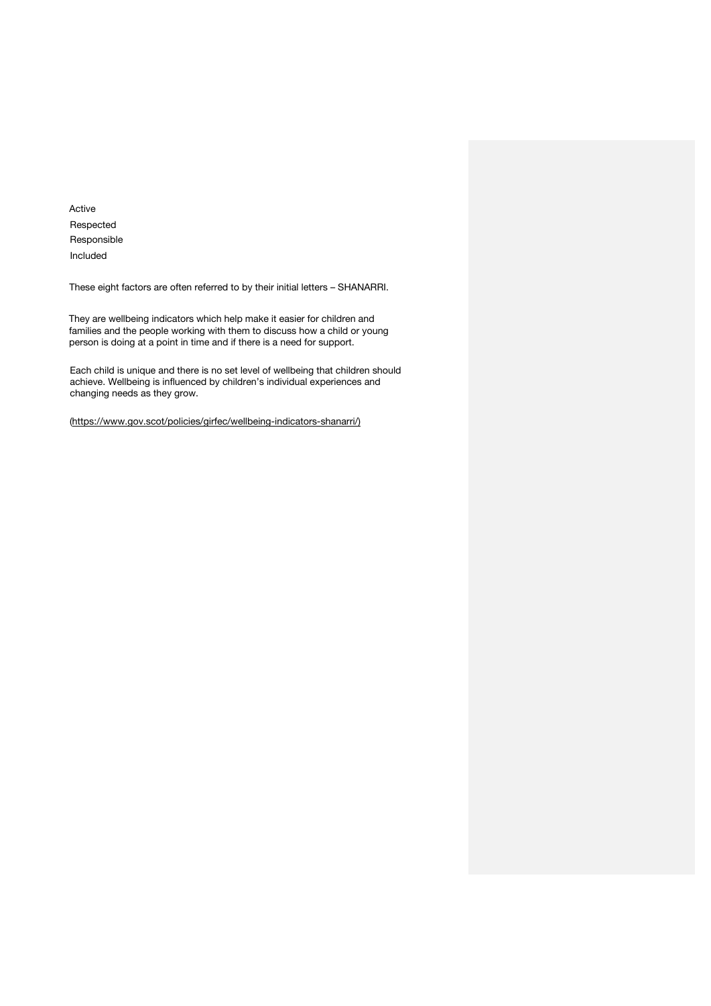Active Respected Responsible Included

These eight factors are often referred to by their initial letters – SHANARRI.

They are wellbeing indicators which help make it easier for children and families and the people working with them to discuss how a child or young person is doing at a point in time and if there is a need for support.

Each child is unique and there is no set level of wellbeing that children should achieve. Wellbeing is influenced by children's individual experiences and changing needs as they grow.

(https://www.gov.scot/policies/girfec/wellbeing-indicators-shanarri/)